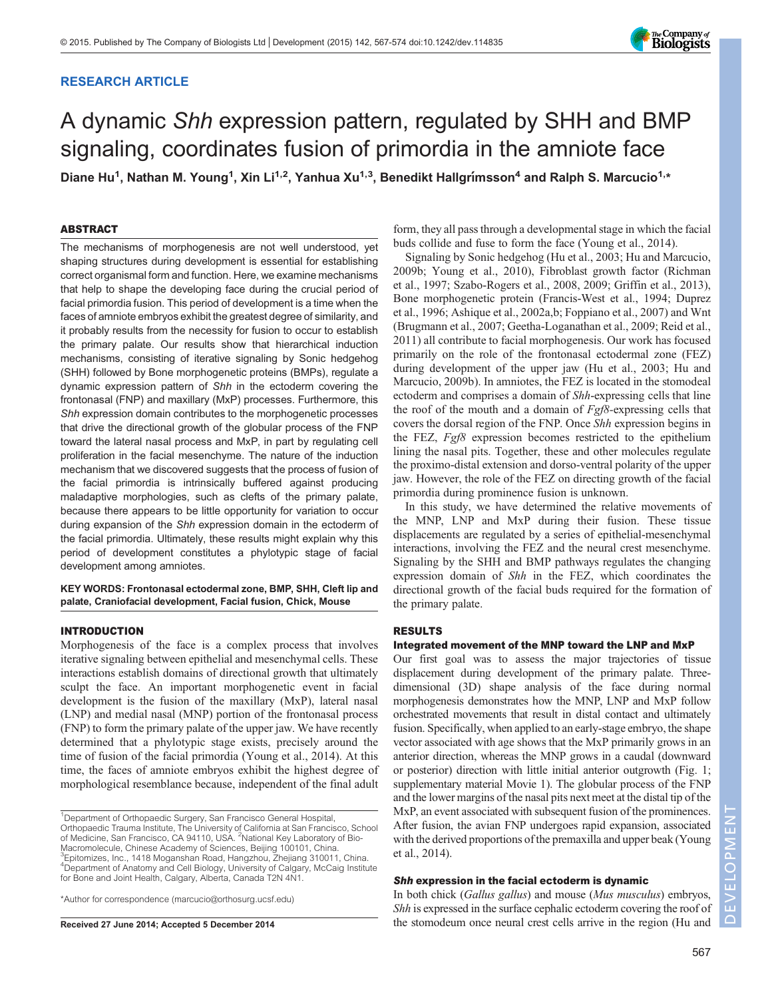# RESEARCH ARTICLE



# A dynamic Shh expression pattern, regulated by SHH and BMP signaling, coordinates fusion of primordia in the amniote face

Diane Hu<sup>1</sup>, Nathan M. Young<sup>1</sup>, Xin Li<sup>1,2</sup>, Yanhua Xu<sup>1,3</sup>, Benedikt Hallgrimsson<sup>4</sup> and Ralph S. Marcucio<sup>1,\*</sup>

# ABSTRACT

The mechanisms of morphogenesis are not well understood, yet shaping structures during development is essential for establishing correct organismal form and function. Here, we examine mechanisms that help to shape the developing face during the crucial period of facial primordia fusion. This period of development is a time when the faces of amniote embryos exhibit the greatest degree of similarity, and it probably results from the necessity for fusion to occur to establish the primary palate. Our results show that hierarchical induction mechanisms, consisting of iterative signaling by Sonic hedgehog (SHH) followed by Bone morphogenetic proteins (BMPs), regulate a dynamic expression pattern of Shh in the ectoderm covering the frontonasal (FNP) and maxillary (MxP) processes. Furthermore, this Shh expression domain contributes to the morphogenetic processes that drive the directional growth of the globular process of the FNP toward the lateral nasal process and MxP, in part by regulating cell proliferation in the facial mesenchyme. The nature of the induction mechanism that we discovered suggests that the process of fusion of the facial primordia is intrinsically buffered against producing maladaptive morphologies, such as clefts of the primary palate, because there appears to be little opportunity for variation to occur during expansion of the Shh expression domain in the ectoderm of the facial primordia. Ultimately, these results might explain why this period of development constitutes a phylotypic stage of facial development among amniotes.

KEY WORDS: Frontonasal ectodermal zone, BMP, SHH, Cleft lip and palate, Craniofacial development, Facial fusion, Chick, Mouse

## INTRODUCTION

Morphogenesis of the face is a complex process that involves iterative signaling between epithelial and mesenchymal cells. These interactions establish domains of directional growth that ultimately sculpt the face. An important morphogenetic event in facial development is the fusion of the maxillary (MxP), lateral nasal (LNP) and medial nasal (MNP) portion of the frontonasal process (FNP) to form the primary palate of the upper jaw. We have recently determined that a phylotypic stage exists, precisely around the time of fusion of the facial primordia [\(Young et al., 2014](#page-7-0)). At this time, the faces of amniote embryos exhibit the highest degree of morphological resemblance because, independent of the final adult

\*Author for correspondence (marcucio@orthosurg.ucsf.edu)

form, they all pass through a developmental stage in which the facial buds collide and fuse to form the face ([Young et al., 2014\)](#page-7-0).

Signaling by Sonic hedgehog ([Hu et al., 2003; Hu and Marcucio,](#page-7-0) [2009b; Young et al., 2010](#page-7-0)), Fibroblast growth factor ([Richman](#page-7-0) [et al., 1997; Szabo-Rogers et al., 2008, 2009](#page-7-0); [Griffin et al., 2013\)](#page-7-0), Bone morphogenetic protein ([Francis-West et al., 1994; Duprez](#page-6-0) [et al., 1996](#page-6-0); [Ashique et al., 2002a,b; Foppiano et al., 2007](#page-6-0)) and Wnt [\(Brugmann et al., 2007](#page-6-0); [Geetha-Loganathan et al., 2009;](#page-6-0) [Reid et al.,](#page-7-0) [2011\)](#page-7-0) all contribute to facial morphogenesis. Our work has focused primarily on the role of the frontonasal ectodermal zone (FEZ) during development of the upper jaw ([Hu et al., 2003; Hu and](#page-7-0) [Marcucio, 2009b](#page-7-0)). In amniotes, the FEZ is located in the stomodeal ectoderm and comprises a domain of Shh-expressing cells that line the roof of the mouth and a domain of Fgf8-expressing cells that covers the dorsal region of the FNP. Once Shh expression begins in the FEZ, Fgf8 expression becomes restricted to the epithelium lining the nasal pits. Together, these and other molecules regulate the proximo-distal extension and dorso-ventral polarity of the upper jaw. However, the role of the FEZ on directing growth of the facial primordia during prominence fusion is unknown.

In this study, we have determined the relative movements of the MNP, LNP and MxP during their fusion. These tissue displacements are regulated by a series of epithelial-mesenchymal interactions, involving the FEZ and the neural crest mesenchyme. Signaling by the SHH and BMP pathways regulates the changing expression domain of Shh in the FEZ, which coordinates the directional growth of the facial buds required for the formation of the primary palate.

# RESULTS

# Integrated movement of the MNP toward the LNP and MxP

Our first goal was to assess the major trajectories of tissue displacement during development of the primary palate. Threedimensional (3D) shape analysis of the face during normal morphogenesis demonstrates how the MNP, LNP and MxP follow orchestrated movements that result in distal contact and ultimately fusion. Specifically, when applied to an early-stage embryo, the shape vector associated with age shows that the MxP primarily grows in an anterior direction, whereas the MNP grows in a caudal (downward or posterior) direction with little initial anterior outgrowth ([Fig. 1;](#page-1-0) [supplementary material Movie 1](http://dev.biologists.org/lookup/suppl/doi:10.1242/dev.114835/-/DC1)). The globular process of the FNP and the lower margins of the nasal pits next meet at the distal tip of the MxP, an event associated with subsequent fusion of the prominences. After fusion, the avian FNP undergoes rapid expansion, associated with the derived proportions of the premaxilla and upper beak ([Young](#page-7-0) [et al., 2014](#page-7-0)).

# Shh expression in the facial ectoderm is dynamic

In both chick (Gallus gallus) and mouse (Mus musculus) embryos, Shh is expressed in the surface cephalic ectoderm covering the roof of Received 27 June 2014; Accepted 5 December 2014 the stomodeum once neural crest cells arrive in the region [\(Hu and](#page-7-0)

<sup>&</sup>lt;sup>1</sup>Department of Orthopaedic Surgery, San Francisco General Hospital, Orthopaedic Trauma Institute, The University of California at San Francisco, School of Medicine, San Francisco, CA 94110, USA. <sup>2</sup>National Key Laboratory of Bio-Macromolecule, Chinese Academy of Sciences, Beijing 100101, China. 3 Epitomizes, Inc., 1418 Moganshan Road, Hangzhou, Zhejiang 310011, China. <sup>4</sup>Department of Anatomy and Cell Biology, University of Calgary, McCaig Institute for Bone and Joint Health, Calgary, Alberta, Canada T2N 4N1.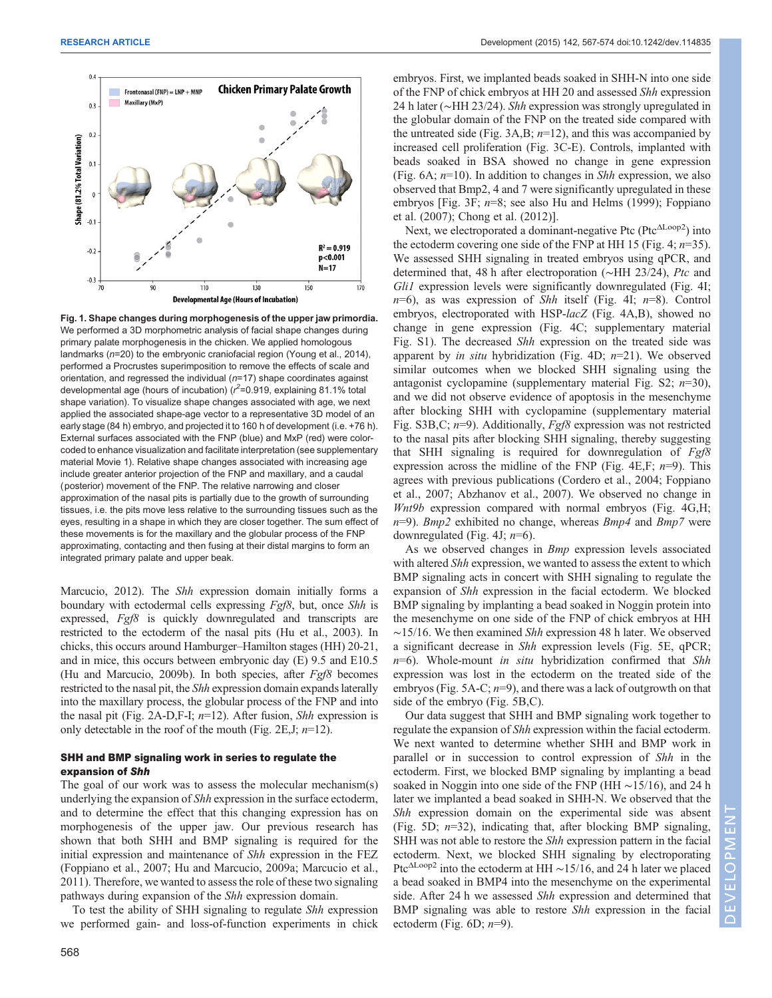<span id="page-1-0"></span>

Fig. 1. Shape changes during morphogenesis of the upper jaw primordia. We performed a 3D morphometric analysis of facial shape changes during primary palate morphogenesis in the chicken. We applied homologous landmarks (n=20) to the embryonic craniofacial region ([Young et al., 2014\)](#page-7-0), performed a Procrustes superimposition to remove the effects of scale and orientation, and regressed the individual  $(n=17)$  shape coordinates against developmental age (hours of incubation) ( $r^2$ =0.919, explaining 81.1% total shape variation). To visualize shape changes associated with age, we next applied the associated shape-age vector to a representative 3D model of an early stage (84 h) embryo, and projected it to 160 h of development (i.e. +76 h). External surfaces associated with the FNP (blue) and MxP (red) were colorcoded to enhance visualization and facilitate interpretation (see supplementary material Movie 1). Relative shape changes associated with increasing age include greater anterior projection of the FNP and maxillary, and a caudal (posterior) movement of the FNP. The relative narrowing and closer approximation of the nasal pits is partially due to the growth of surrounding tissues, i.e. the pits move less relative to the surrounding tissues such as the eyes, resulting in a shape in which they are closer together. The sum effect of these movements is for the maxillary and the globular process of the FNP approximating, contacting and then fusing at their distal margins to form an integrated primary palate and upper beak.

[Marcucio, 2012](#page-7-0)). The *Shh* expression domain initially forms a boundary with ectodermal cells expressing Fgf8, but, once Shh is expressed, Fgf8 is quickly downregulated and transcripts are restricted to the ectoderm of the nasal pits [\(Hu et al., 2003\)](#page-7-0). In chicks, this occurs around Hamburger–Hamilton stages (HH) 20-21, and in mice, this occurs between embryonic day (E) 9.5 and E10.5 [\(Hu and Marcucio, 2009b](#page-7-0)). In both species, after  $Fgf8$  becomes restricted to the nasal pit, the Shh expression domain expands laterally into the maxillary process, the globular process of the FNP and into the nasal pit ([Fig. 2](#page-2-0)A-D, F-I;  $n=12$ ). After fusion, *Shh* expression is only detectable in the roof of the mouth [\(Fig. 2E](#page-2-0), J;  $n=12$ ).

# SHH and BMP signaling work in series to regulate the expansion of Shh

The goal of our work was to assess the molecular mechanism(s) underlying the expansion of Shh expression in the surface ectoderm, and to determine the effect that this changing expression has on morphogenesis of the upper jaw. Our previous research has shown that both SHH and BMP signaling is required for the initial expression and maintenance of Shh expression in the FEZ [\(Foppiano et al., 2007;](#page-6-0) [Hu and Marcucio, 2009a](#page-7-0); [Marcucio et al.,](#page-7-0) [2011](#page-7-0)). Therefore, we wanted to assess the role of these two signaling pathways during expansion of the Shh expression domain.

To test the ability of SHH signaling to regulate Shh expression we performed gain- and loss-of-function experiments in chick

embryos. First, we implanted beads soaked in SHH-N into one side of the FNP of chick embryos at HH 20 and assessed Shh expression 24 h later (∼HH 23/24). Shh expression was strongly upregulated in the globular domain of the FNP on the treated side compared with the untreated side (Fig.  $3A,B$ ;  $n=12$ ), and this was accompanied by increased cell proliferation ([Fig. 3C](#page-3-0)-E). Controls, implanted with beads soaked in BSA showed no change in gene expression [\(Fig. 6](#page-5-0)A;  $n=10$ ). In addition to changes in *Shh* expression, we also observed that Bmp2, 4 and 7 were significantly upregulated in these embryos [[Fig. 3](#page-3-0)F;  $n=8$ ; see also [Hu and Helms \(1999\)](#page-7-0); [Foppiano](#page-6-0) [et al. \(2007](#page-6-0)); [Chong et al. \(2012\)](#page-6-0)].

Next, we electroporated a dominant-negative Ptc (Ptc<sup>ΔLoop2</sup>) into the ectoderm covering one side of the FNP at HH 15 [\(Fig. 4](#page-4-0);  $n=35$ ). We assessed SHH signaling in treated embryos using qPCR, and determined that, 48 h after electroporation (∼HH 23/24), Ptc and Gli1 expression levels were significantly downregulated [\(Fig. 4](#page-4-0)I;  $n=6$ ), as was expression of Shh itself [\(Fig. 4](#page-4-0)I;  $n=8$ ). Control embryos, electroporated with HSP-lacZ ([Fig. 4A](#page-4-0),B), showed no change in gene expression [\(Fig. 4C](#page-4-0); [supplementary material](http://dev.biologists.org/lookup/suppl/doi:10.1242/dev.114835/-/DC1) [Fig. S1\)](http://dev.biologists.org/lookup/suppl/doi:10.1242/dev.114835/-/DC1). The decreased Shh expression on the treated side was apparent by *in situ* hybridization [\(Fig. 4](#page-4-0)D;  $n=21$ ). We observed similar outcomes when we blocked SHH signaling using the antagonist cyclopamine ([supplementary material Fig. S2;](http://dev.biologists.org/lookup/suppl/doi:10.1242/dev.114835/-/DC1)  $n=30$ ), and we did not observe evidence of apoptosis in the mesenchyme after blocking SHH with cyclopamine [\(supplementary material](http://dev.biologists.org/lookup/suppl/doi:10.1242/dev.114835/-/DC1) Fig. S3B, C;  $n=9$ ). Additionally,  $Fgf8$  expression was not restricted to the nasal pits after blocking SHH signaling, thereby suggesting that SHH signaling is required for downregulation of  $Fgf8$ expression across the midline of the FNP [\(Fig. 4E](#page-4-0), F;  $n=9$ ). This agrees with previous publications ([Cordero et al., 2004; Foppiano](#page-6-0) [et al., 2007; Abzhanov et al., 2007\)](#page-6-0). We observed no change in Wnt9b expression compared with normal embryos ([Fig. 4](#page-4-0)G,H;  $n=9$ ). Bmp2 exhibited no change, whereas Bmp4 and Bmp7 were downregulated [\(Fig. 4J](#page-4-0);  $n=6$ ).

As we observed changes in  $Bmp$  expression levels associated with altered *Shh* expression, we wanted to assess the extent to which BMP signaling acts in concert with SHH signaling to regulate the expansion of Shh expression in the facial ectoderm. We blocked BMP signaling by implanting a bead soaked in Noggin protein into the mesenchyme on one side of the FNP of chick embryos at HH ∼15/16. We then examined Shh expression 48 h later. We observed a significant decrease in Shh expression levels ([Fig. 5E](#page-5-0), qPCR;  $n=6$ ). Whole-mount in situ hybridization confirmed that Shh expression was lost in the ectoderm on the treated side of the embryos [\(Fig. 5A](#page-5-0)-C;  $n=9$ ), and there was a lack of outgrowth on that side of the embryo ([Fig. 5](#page-5-0)B,C).

Our data suggest that SHH and BMP signaling work together to regulate the expansion of Shh expression within the facial ectoderm. We next wanted to determine whether SHH and BMP work in parallel or in succession to control expression of Shh in the ectoderm. First, we blocked BMP signaling by implanting a bead soaked in Noggin into one side of the FNP (HH ∼15/16), and 24 h later we implanted a bead soaked in SHH-N. We observed that the Shh expression domain on the experimental side was absent [\(Fig. 5](#page-5-0)D;  $n=32$ ), indicating that, after blocking BMP signaling, SHH was not able to restore the Shh expression pattern in the facial ectoderm. Next, we blocked SHH signaling by electroporating Ptc<sup>∆Loop2</sup> into the ectoderm at HH ~15/16, and 24 h later we placed a bead soaked in BMP4 into the mesenchyme on the experimental side. After 24 h we assessed Shh expression and determined that BMP signaling was able to restore Shh expression in the facial ectoderm (Fig.  $6D$ ;  $n=9$ ).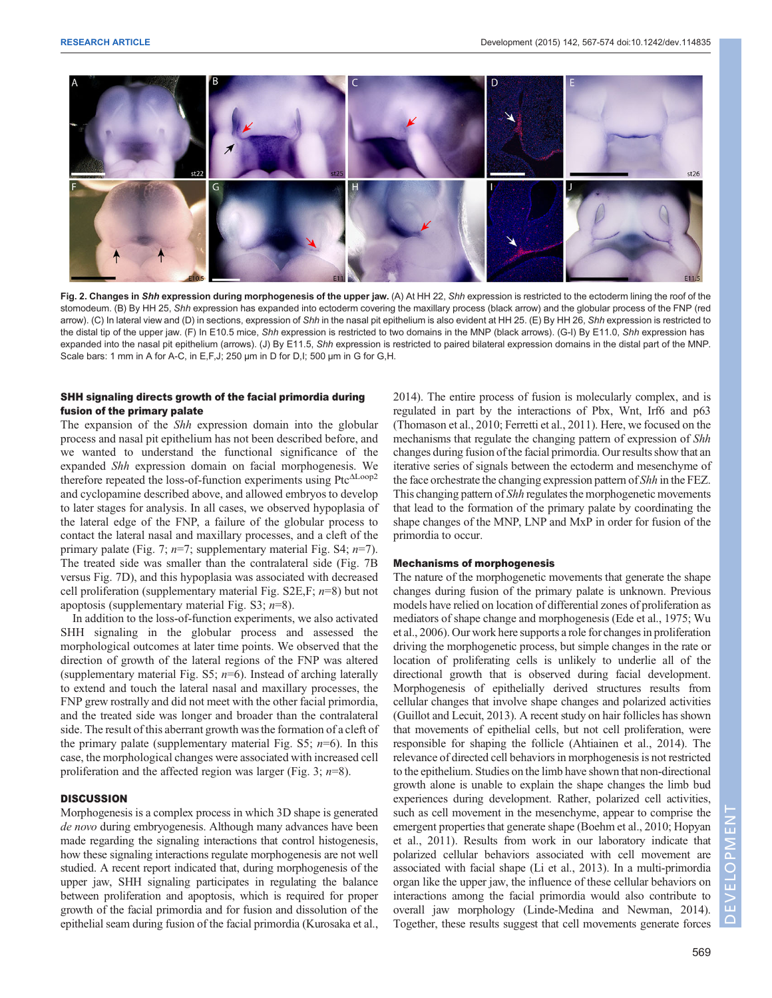<span id="page-2-0"></span>

Fig. 2. Changes in Shh expression during morphogenesis of the upper jaw. (A) At HH 22, Shh expression is restricted to the ectoderm lining the roof of the stomodeum. (B) By HH 25, Shh expression has expanded into ectoderm covering the maxillary process (black arrow) and the globular process of the FNP (red arrow). (C) In lateral view and (D) in sections, expression of Shh in the nasal pit epithelium is also evident at HH 25. (E) By HH 26, Shh expression is restricted to the distal tip of the upper jaw. (F) In E10.5 mice, Shh expression is restricted to two domains in the MNP (black arrows). (G-I) By E11.0, Shh expression has expanded into the nasal pit epithelium (arrows). (J) By E11.5, Shh expression is restricted to paired bilateral expression domains in the distal part of the MNP. Scale bars: 1 mm in A for A-C, in E,F,J; 250 µm in D for D,I; 500 µm in G for G,H.

# SHH signaling directs growth of the facial primordia during fusion of the primary palate

The expansion of the *Shh* expression domain into the globular process and nasal pit epithelium has not been described before, and we wanted to understand the functional significance of the expanded Shh expression domain on facial morphogenesis. We therefore repeated the loss-of-function experiments using PtcΔLoop2 and cyclopamine described above, and allowed embryos to develop to later stages for analysis. In all cases, we observed hypoplasia of the lateral edge of the FNP, a failure of the globular process to contact the lateral nasal and maxillary processes, and a cleft of the primary palate [\(Fig. 7;](#page-5-0)  $n=7$ ; [supplementary material Fig. S4;](http://dev.biologists.org/lookup/suppl/doi:10.1242/dev.114835/-/DC1)  $n=7$ ). The treated side was smaller than the contralateral side [\(Fig. 7B](#page-5-0) versus [Fig. 7](#page-5-0)D), and this hypoplasia was associated with decreased cell proliferation (supplementary material Fig.  $S2E, F; n=8$ ) but not apoptosis [\(supplementary material Fig. S3;](http://dev.biologists.org/lookup/suppl/doi:10.1242/dev.114835/-/DC1)  $n=8$ ).

In addition to the loss-of-function experiments, we also activated SHH signaling in the globular process and assessed the morphological outcomes at later time points. We observed that the direction of growth of the lateral regions of the FNP was altered [\(supplementary material Fig. S5;](http://dev.biologists.org/lookup/suppl/doi:10.1242/dev.114835/-/DC1)  $n=6$ ). Instead of arching laterally to extend and touch the lateral nasal and maxillary processes, the FNP grew rostrally and did not meet with the other facial primordia, and the treated side was longer and broader than the contralateral side. The result of this aberrant growth was the formation of a cleft of the primary palate ([supplementary material Fig. S5;](http://dev.biologists.org/lookup/suppl/doi:10.1242/dev.114835/-/DC1)  $n=6$ ). In this case, the morphological changes were associated with increased cell proliferation and the affected region was larger ([Fig. 3;](#page-3-0)  $n=8$ ).

# **DISCUSSION**

Morphogenesis is a complex process in which 3D shape is generated de novo during embryogenesis. Although many advances have been made regarding the signaling interactions that control histogenesis, how these signaling interactions regulate morphogenesis are not well studied. A recent report indicated that, during morphogenesis of the upper jaw, SHH signaling participates in regulating the balance between proliferation and apoptosis, which is required for proper growth of the facial primordia and for fusion and dissolution of the epithelial seam during fusion of the facial primordia ([Kurosaka et al.,](#page-7-0)

[2014\)](#page-7-0). The entire process of fusion is molecularly complex, and is regulated in part by the interactions of Pbx, Wnt, Irf6 and p63 [\(Thomason et al., 2010](#page-7-0); [Ferretti et al., 2011](#page-6-0)). Here, we focused on the mechanisms that regulate the changing pattern of expression of Shh changes during fusion of the facial primordia. Our results show that an iterative series of signals between the ectoderm and mesenchyme of the face orchestrate the changing expression pattern of Shh in the FEZ. This changing pattern of Shh regulates the morphogenetic movements that lead to the formation of the primary palate by coordinating the shape changes of the MNP, LNP and MxP in order for fusion of the primordia to occur.

### Mechanisms of morphogenesis

The nature of the morphogenetic movements that generate the shape changes during fusion of the primary palate is unknown. Previous models have relied on location of differential zones of proliferation as mediators of shape change and morphogenesis [\(Ede et al., 1975;](#page-6-0) [Wu](#page-7-0) [et al., 2006\)](#page-7-0). Our work here supports a role for changes in proliferation driving the morphogenetic process, but simple changes in the rate or location of proliferating cells is unlikely to underlie all of the directional growth that is observed during facial development. Morphogenesis of epithelially derived structures results from cellular changes that involve shape changes and polarized activities [\(Guillot and Lecuit, 2013\)](#page-7-0). A recent study on hair follicles has shown that movements of epithelial cells, but not cell proliferation, were responsible for shaping the follicle [\(Ahtiainen et al., 2014\)](#page-6-0). The relevance of directed cell behaviors in morphogenesis is not restricted to the epithelium. Studies on the limb have shown that non-directional growth alone is unable to explain the shape changes the limb bud experiences during development. Rather, polarized cell activities, such as cell movement in the mesenchyme, appear to comprise the emergent properties that generate shape ([Boehm et al., 2010](#page-6-0); [Hopyan](#page-7-0) [et al., 2011\)](#page-7-0). Results from work in our laboratory indicate that polarized cellular behaviors associated with cell movement are associated with facial shape [\(Li et al., 2013](#page-7-0)). In a multi-primordia organ like the upper jaw, the influence of these cellular behaviors on interactions among the facial primordia would also contribute to overall jaw morphology [\(Linde-Medina and Newman, 201](#page-7-0)4). Together, these results suggest that cell movements generate forces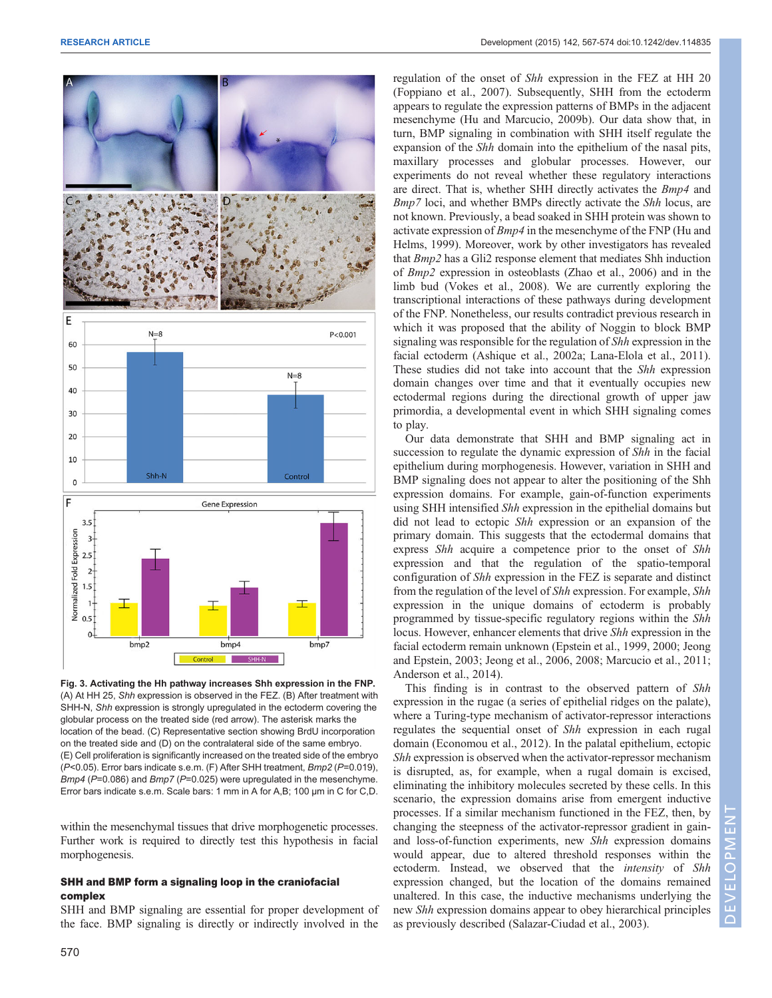<span id="page-3-0"></span>

Fig. 3. Activating the Hh pathway increases Shh expression in the FNP. (A) At HH 25, Shh expression is observed in the FEZ. (B) After treatment with SHH-N, Shh expression is strongly upregulated in the ectoderm covering the globular process on the treated side (red arrow). The asterisk marks the location of the bead. (C) Representative section showing BrdU incorporation on the treated side and (D) on the contralateral side of the same embryo. (E) Cell proliferation is significantly increased on the treated side of the embryo (P<0.05). Error bars indicate s.e.m. (F) After SHH treatment, Bmp2 (P=0.019), Bmp4 (P=0.086) and Bmp7 (P=0.025) were upregulated in the mesenchyme. Error bars indicate s.e.m. Scale bars: 1 mm in A for A,B; 100 µm in C for C,D.

within the mesenchymal tissues that drive morphogenetic processes. Further work is required to directly test this hypothesis in facial morphogenesis.

# SHH and BMP form a signaling loop in the craniofacial complex

SHH and BMP signaling are essential for proper development of the face. BMP signaling is directly or indirectly involved in the

regulation of the onset of Shh expression in the FEZ at HH 20 [\(Foppiano et al., 2007\)](#page-6-0). Subsequently, SHH from the ectoderm appears to regulate the expression patterns of BMPs in the adjacent mesenchyme [\(Hu and Marcucio, 2009b](#page-7-0)). Our data show that, in turn, BMP signaling in combination with SHH itself regulate the expansion of the Shh domain into the epithelium of the nasal pits, maxillary processes and globular processes. However, our experiments do not reveal whether these regulatory interactions are direct. That is, whether SHH directly activates the Bmp4 and Bmp7 loci, and whether BMPs directly activate the Shh locus, are not known. Previously, a bead soaked in SHH protein was shown to activate expression of Bmp4 in the mesenchyme of the FNP ([Hu and](#page-7-0) [Helms, 1999\)](#page-7-0). Moreover, work by other investigators has revealed that Bmp2 has a Gli2 response element that mediates Shh induction of Bmp2 expression in osteoblasts ([Zhao et al., 2006\)](#page-7-0) and in the limb bud ([Vokes et al., 2008\)](#page-7-0). We are currently exploring the transcriptional interactions of these pathways during development of the FNP. Nonetheless, our results contradict previous research in which it was proposed that the ability of Noggin to block BMP signaling was responsible for the regulation of Shh expression in the facial ectoderm ([Ashique et al., 2002a](#page-6-0); [Lana-Elola et al., 2011\)](#page-7-0). These studies did not take into account that the Shh expression domain changes over time and that it eventually occupies new ectodermal regions during the directional growth of upper jaw primordia, a developmental event in which SHH signaling comes to play.

Our data demonstrate that SHH and BMP signaling act in succession to regulate the dynamic expression of Shh in the facial epithelium during morphogenesis. However, variation in SHH and BMP signaling does not appear to alter the positioning of the Shh expression domains. For example, gain-of-function experiments using SHH intensified *Shh* expression in the epithelial domains but did not lead to ectopic Shh expression or an expansion of the primary domain. This suggests that the ectodermal domains that express Shh acquire a competence prior to the onset of Shh expression and that the regulation of the spatio-temporal configuration of Shh expression in the FEZ is separate and distinct from the regulation of the level of Shh expression. For example, Shh expression in the unique domains of ectoderm is probably programmed by tissue-specific regulatory regions within the Shh locus. However, enhancer elements that drive Shh expression in the facial ectoderm remain unknown ([Epstein et al., 1999, 2000;](#page-6-0) [Jeong](#page-7-0) [and Epstein, 2003](#page-7-0); [Jeong et al., 2006, 2008; Marcucio et al., 2011](#page-7-0); [Anderson et al., 2014\)](#page-6-0).

This finding is in contrast to the observed pattern of Shh expression in the rugae (a series of epithelial ridges on the palate), where a Turing-type mechanism of activator-repressor interactions regulates the sequential onset of Shh expression in each rugal domain ([Economou et al., 2012\)](#page-6-0). In the palatal epithelium, ectopic Shh expression is observed when the activator-repressor mechanism is disrupted, as, for example, when a rugal domain is excised, eliminating the inhibitory molecules secreted by these cells. In this scenario, the expression domains arise from emergent inductive processes. If a similar mechanism functioned in the FEZ, then, by changing the steepness of the activator-repressor gradient in gainand loss-of-function experiments, new Shh expression domains would appear, due to altered threshold responses within the ectoderm. Instead, we observed that the *intensity* of Shh expression changed, but the location of the domains remained unaltered. In this case, the inductive mechanisms underlying the new Shh expression domains appear to obey hierarchical principles as previously described ([Salazar-Ciudad et al., 2003\)](#page-7-0).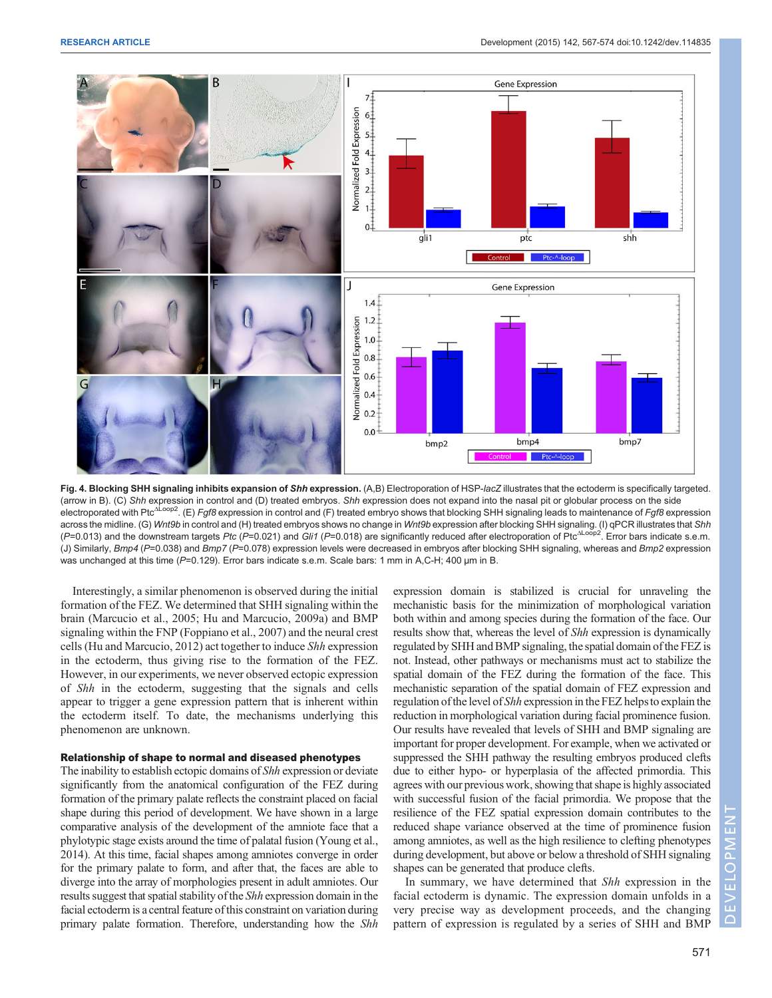<span id="page-4-0"></span>

Fig. 4. Blocking SHH signaling inhibits expansion of Shh expression. (A,B) Electroporation of HSP-lacZ illustrates that the ectoderm is specifically targeted. (arrow in B). (C) *Shh* expression in control and (D) treated embryos. *Shh* expression does not expand into the nasal pit or globular process on the side<br>electroporated with Ptc<sup>∆Loop2</sup>. (E) *Fgf8* expression in control a across the midline. (G) Wnt9b in control and (H) treated embryos shows no change in Wnt9b expression after blocking SHH signaling. (I) qPCR illustrates that Shh  $(P=0.013)$  and the downstream targets Ptc (P=0.021) and Gli1 (P=0.018) are significantly reduced after electroporation of Ptc<sup>ΔLoop2</sup>. Error bars indicate s.e.m. (J) Similarly, Bmp4 (P=0.038) and Bmp7 (P=0.078) expression levels were decreased in embryos after blocking SHH signaling, whereas and Bmp2 expression was unchanged at this time (P=0.129). Error bars indicate s.e.m. Scale bars: 1 mm in A,C-H; 400 µm in B.

Interestingly, a similar phenomenon is observed during the initial formation of the FEZ. We determined that SHH signaling within the brain [\(Marcucio et al., 2005; Hu and Marcucio, 2009a](#page-7-0)) and BMP signaling within the FNP ([Foppiano et al., 2007](#page-6-0)) and the neural crest cells [\(Hu and Marcucio, 2012\)](#page-7-0) act together to induce Shh expression in the ectoderm, thus giving rise to the formation of the FEZ. However, in our experiments, we never observed ectopic expression of Shh in the ectoderm, suggesting that the signals and cells appear to trigger a gene expression pattern that is inherent within the ectoderm itself. To date, the mechanisms underlying this phenomenon are unknown.

# Relationship of shape to normal and diseased phenotypes

The inability to establish ectopic domains of Shh expression or deviate significantly from the anatomical configuration of the FEZ during formation of the primary palate reflects the constraint placed on facial shape during this period of development. We have shown in a large comparative analysis of the development of the amniote face that a phylotypic stage exists around the time of palatal fusion [\(Young et al.,](#page-7-0) [2014\)](#page-7-0). At this time, facial shapes among amniotes converge in order for the primary palate to form, and after that, the faces are able to diverge into the array of morphologies present in adult amniotes. Our results suggest that spatial stability of the Shh expression domain in the facial ectoderm is a central feature of this constraint on variation during primary palate formation. Therefore, understanding how the Shh

expression domain is stabilized is crucial for unraveling the mechanistic basis for the minimization of morphological variation both within and among species during the formation of the face. Our results show that, whereas the level of Shh expression is dynamically regulated by SHH and BMP signaling, the spatial domain of the FEZ is not. Instead, other pathways or mechanisms must act to stabilize the spatial domain of the FEZ during the formation of the face. This mechanistic separation of the spatial domain of FEZ expression and regulation of the level of Shh expression in the FEZ helpsto explain the reduction in morphological variation during facial prominence fusion. Our results have revealed that levels of SHH and BMP signaling are important for proper development. For example, when we activated or suppressed the SHH pathway the resulting embryos produced clefts due to either hypo- or hyperplasia of the affected primordia. This agrees with our previous work, showing that shape is highly associated with successful fusion of the facial primordia. We propose that the resilience of the FEZ spatial expression domain contributes to the reduced shape variance observed at the time of prominence fusion among amniotes, as well as the high resilience to clefting phenotypes during development, but above or below a threshold of SHH signaling shapes can be generated that produce clefts.

In summary, we have determined that Shh expression in the facial ectoderm is dynamic. The expression domain unfolds in a very precise way as development proceeds, and the changing pattern of expression is regulated by a series of SHH and BMP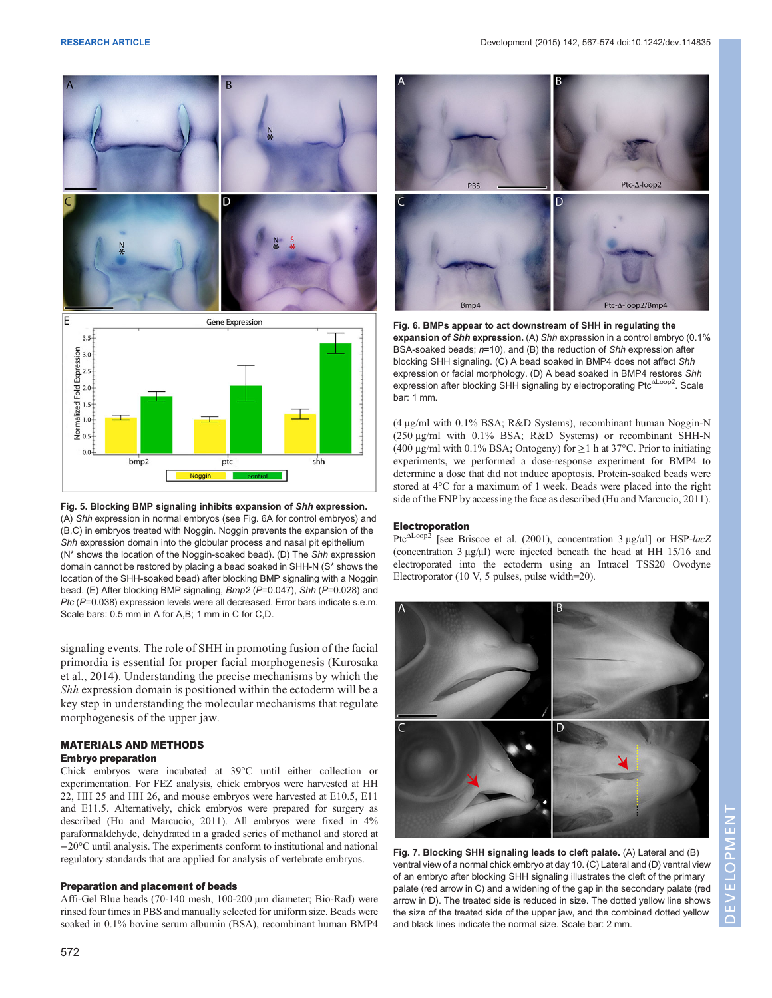<span id="page-5-0"></span>

Fig. 5. Blocking BMP signaling inhibits expansion of Shh expression. (A) Shh expression in normal embryos (see Fig. 6A for control embryos) and (B,C) in embryos treated with Noggin. Noggin prevents the expansion of the Shh expression domain into the globular process and nasal pit epithelium (N\* shows the location of the Noggin-soaked bead). (D) The Shh expression domain cannot be restored by placing a bead soaked in SHH-N (S\* shows the location of the SHH-soaked bead) after blocking BMP signaling with a Noggin bead. (E) After blocking BMP signaling, Bmp2 (P=0.047), Shh (P=0.028) and Ptc (P=0.038) expression levels were all decreased. Error bars indicate s.e.m. Scale bars: 0.5 mm in A for A,B; 1 mm in C for C,D.

signaling events. The role of SHH in promoting fusion of the facial primordia is essential for proper facial morphogenesis [\(Kurosaka](#page-7-0) [et al., 2014\)](#page-7-0). Understanding the precise mechanisms by which the Shh expression domain is positioned within the ectoderm will be a key step in understanding the molecular mechanisms that regulate morphogenesis of the upper jaw.

# MATERIALS AND METHODS

# Embryo preparation

Chick embryos were incubated at 39°C until either collection or experimentation. For FEZ analysis, chick embryos were harvested at HH 22, HH 25 and HH 26, and mouse embryos were harvested at E10.5, E11 and E11.5. Alternatively, chick embryos were prepared for surgery as described ([Hu and Marcucio, 2011\)](#page-7-0). All embryos were fixed in 4% paraformaldehyde, dehydrated in a graded series of methanol and stored at −20°C until analysis. The experiments conform to institutional and national regulatory standards that are applied for analysis of vertebrate embryos.

# Preparation and placement of beads

Affi-Gel Blue beads (70-140 mesh, 100-200 μm diameter; Bio-Rad) were rinsed four times in PBS and manually selected for uniform size. Beads were soaked in 0.1% bovine serum albumin (BSA), recombinant human BMP4



Fig. 6. BMPs appear to act downstream of SHH in regulating the expansion of Shh expression. (A) Shh expression in a control embryo (0.1% BSA-soaked beads; n=10), and (B) the reduction of Shh expression after blocking SHH signaling. (C) A bead soaked in BMP4 does not affect Shh expression or facial morphology. (D) A bead soaked in BMP4 restores Shh expression after blocking SHH signaling by electroporating Ptc<sup>ΔLoop2</sup>. Scale bar: 1 mm.

(4 μg/ml with 0.1% BSA; R&D Systems), recombinant human Noggin-N (250 μg/ml with 0.1% BSA; R&D Systems) or recombinant SHH-N (400 μg/ml with 0.1% BSA; Ontogeny) for  $\geq$ 1 h at 37°C. Prior to initiating experiments, we performed a dose-response experiment for BMP4 to determine a dose that did not induce apoptosis. Protein-soaked beads were stored at 4°C for a maximum of 1 week. Beads were placed into the right side of the FNP by accessing the face as described ([Hu and Marcucio, 2011](#page-7-0)).

## Electroporation

Ptc<sup>ΔLoop2</sup> [see [Briscoe et al. \(2001](#page-6-0)), concentration 3 μg/μl] or HSP-lacZ (concentration 3 μg/μl) were injected beneath the head at HH 15/16 and electroporated into the ectoderm using an Intracel TSS20 Ovodyne Electroporator (10 V, 5 pulses, pulse width=20).



Fig. 7. Blocking SHH signaling leads to cleft palate. (A) Lateral and (B) ventral view of a normal chick embryo at day 10. (C) Lateral and (D) ventral view of an embryo after blocking SHH signaling illustrates the cleft of the primary palate (red arrow in C) and a widening of the gap in the secondary palate (red arrow in D). The treated side is reduced in size. The dotted yellow line shows the size of the treated side of the upper jaw, and the combined dotted yellow and black lines indicate the normal size. Scale bar: 2 mm.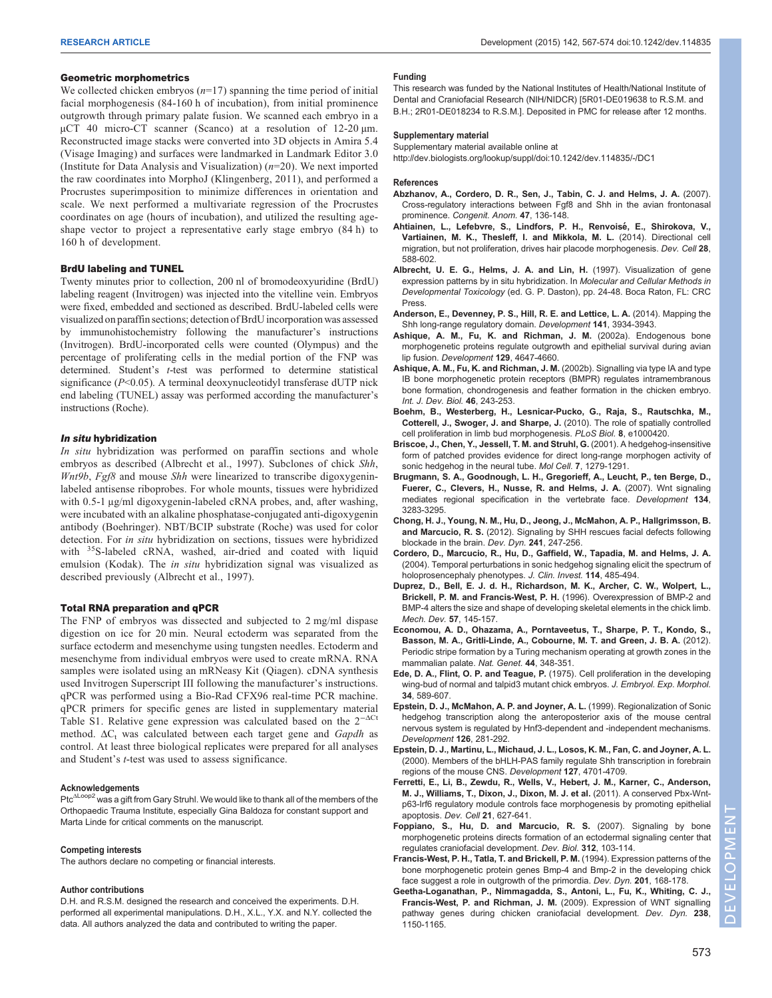#### <span id="page-6-0"></span>Geometric morphometrics

We collected chicken embryos  $(n=17)$  spanning the time period of initial facial morphogenesis (84-160 h of incubation), from initial prominence outgrowth through primary palate fusion. We scanned each embryo in a µCT 40 micro-CT scanner (Scanco) at a resolution of 12-20 µm. Reconstructed image stacks were converted into 3D objects in Amira 5.4 (Visage Imaging) and surfaces were landmarked in Landmark Editor 3.0 (Institute for Data Analysis and Visualization)  $(n=20)$ . We next imported the raw coordinates into MorphoJ (Klingenberg, 2011), and performed a Procrustes superimposition to minimize differences in orientation and scale. We next performed a multivariate regression of the Procrustes coordinates on age (hours of incubation), and utilized the resulting ageshape vector to project a representative early stage embryo (84 h) to 160 h of development.

## BrdU labeling and TUNEL

Twenty minutes prior to collection, 200 nl of bromodeoxyuridine (BrdU) labeling reagent (Invitrogen) was injected into the vitelline vein. Embryos were fixed, embedded and sectioned as described. BrdU-labeled cells were visualized on paraffin sections; detection of BrdU incorporation was assessed by immunohistochemistry following the manufacturer's instructions (Invitrogen). BrdU-incorporated cells were counted (Olympus) and the percentage of proliferating cells in the medial portion of the FNP was determined. Student's t-test was performed to determine statistical significance  $(P<0.05)$ . A terminal deoxynucleotidyl transferase dUTP nick end labeling (TUNEL) assay was performed according the manufacturer's instructions (Roche).

## In situ hybridization

In situ hybridization was performed on paraffin sections and whole embryos as described (Albrecht et al., 1997). Subclones of chick Shh, Wnt9b, Fgf8 and mouse Shh were linearized to transcribe digoxygeninlabeled antisense riboprobes. For whole mounts, tissues were hybridized with 0.5-1 μg/ml digoxygenin-labeled cRNA probes, and, after washing, were incubated with an alkaline phosphatase-conjugated anti-digoxygenin antibody (Boehringer). NBT/BCIP substrate (Roche) was used for color detection. For in situ hybridization on sections, tissues were hybridized with <sup>35</sup>S-labeled cRNA, washed, air-dried and coated with liquid emulsion (Kodak). The in situ hybridization signal was visualized as described previously (Albrecht et al., 1997).

### Total RNA preparation and qPCR

The FNP of embryos was dissected and subjected to 2 mg/ml dispase digestion on ice for 20 min. Neural ectoderm was separated from the surface ectoderm and mesenchyme using tungsten needles. Ectoderm and mesenchyme from individual embryos were used to create mRNA. RNA samples were isolated using an mRNeasy Kit (Qiagen). cDNA synthesis used Invitrogen Superscript III following the manufacturer's instructions. qPCR was performed using a Bio-Rad CFX96 real-time PCR machine. qPCR primers for specific genes are listed in [supplementary material](http://dev.biologists.org/lookup/suppl/doi:10.1242/dev.114835/-/DC1) [Table S1.](http://dev.biologists.org/lookup/suppl/doi:10.1242/dev.114835/-/DC1) Relative gene expression was calculated based on the 2−ΔCt method.  $\Delta C_t$  was calculated between each target gene and Gapdh as control. At least three biological replicates were prepared for all analyses and Student's t-test was used to assess significance.

#### Acknowledgements

Ptc<sup>ΔLoop2</sup> was a gift from Gary Struhl. We would like to thank all of the members of the Orthopaedic Trauma Institute, especially Gina Baldoza for constant support and Marta Linde for critical comments on the manuscript.

#### Competing interests

The authors declare no competing or financial interests.

#### Author contributions

D.H. and R.S.M. designed the research and conceived the experiments. D.H. performed all experimental manipulations. D.H., X.L., Y.X. and N.Y. collected the data. All authors analyzed the data and contributed to writing the paper.

#### Funding

This research was funded by the National Institutes of Health/National Institute of Dental and Craniofacial Research (NIH/NIDCR) [5R01-DE019638 to R.S.M. and B.H.; 2R01-DE018234 to R.S.M.]. Deposited in PMC for release after 12 months.

# Supplementary material

Supplementary material available online at <http://dev.biologists.org/lookup/suppl/doi:10.1242/dev.114835/-/DC1>

#### References

- [Abzhanov, A., Cordero, D. R., Sen, J., Tabin, C. J. and Helms, J. A.](http://dx.doi.org/10.1111/j.1741-4520.2007.00162.x) (2007). [Cross-regulatory interactions between Fgf8 and Shh in the avian frontonasal](http://dx.doi.org/10.1111/j.1741-4520.2007.00162.x) prominence. [Congenit. Anom.](http://dx.doi.org/10.1111/j.1741-4520.2007.00162.x) 47, 136-148.
- Ahtiainen, L., Lefebvre, S., Lindfors, P. H., Renvoisé, E., Shirokova, V., [Vartiainen, M. K., Thesleff, I. and Mikkola, M. L.](http://dx.doi.org/10.1016/j.devcel.2014.02.003) (2014). Directional cell [migration, but not proliferation, drives hair placode morphogenesis.](http://dx.doi.org/10.1016/j.devcel.2014.02.003) Dev. Cell 28, [588-602.](http://dx.doi.org/10.1016/j.devcel.2014.02.003)
- Albrecht, U. E. G., Helms, J. A. and Lin, H. (1997). Visualization of gene expression patterns by in situ hybridization. In Molecular and Cellular Methods in Developmental Toxicology (ed. G. P. Daston), pp. 24-48. Boca Raton, FL: CRC Press.
- [Anderson, E., Devenney, P. S., Hill, R. E. and Lettice, L. A.](http://dx.doi.org/10.1242/dev.108480) (2014). Mapping the [Shh long-range regulatory domain.](http://dx.doi.org/10.1242/dev.108480) Development 141, 3934-3943.
- Ashique, A. M., Fu, K. and Richman, J. M. (2002a). Endogenous bone morphogenetic proteins regulate outgrowth and epithelial survival during avian lip fusion. Development 129, 4647-4660.
- Ashique, A. M., Fu, K. and Richman, J. M. (2002b). Signalling via type IA and type IB bone morphogenetic protein receptors (BMPR) regulates intramembranous bone formation, chondrogenesis and feather formation in the chicken embryo. Int. J. Dev. Biol. 46, 243-253.
- [Boehm, B., Westerberg, H., Lesnicar-Pucko, G., Raja, S., Rautschka, M.,](http://dx.doi.org/10.1371/journal.pbio.1000420) [Cotterell, J., Swoger, J. and Sharpe, J.](http://dx.doi.org/10.1371/journal.pbio.1000420) (2010). The role of spatially controlled [cell proliferation in limb bud morphogenesis.](http://dx.doi.org/10.1371/journal.pbio.1000420) PLoS Biol. 8, e1000420.
- [Briscoe, J., Chen, Y., Jessell, T. M. and Struhl, G.](http://dx.doi.org/10.1016/S1097-2765(01)00271-4) (2001). A hedgehog-insensitive [form of patched provides evidence for direct long-range morphogen activity of](http://dx.doi.org/10.1016/S1097-2765(01)00271-4) [sonic hedgehog in the neural tube.](http://dx.doi.org/10.1016/S1097-2765(01)00271-4) Mol Cell. 7, 1279-1291.
- [Brugmann, S. A., Goodnough, L. H., Gregorieff, A., Leucht, P., ten Berge, D.,](http://dx.doi.org/10.1242/dev.005132) [Fuerer, C., Clevers, H., Nusse, R. and Helms, J. A.](http://dx.doi.org/10.1242/dev.005132) (2007). Wnt signaling [mediates regional specification in the vertebrate face.](http://dx.doi.org/10.1242/dev.005132) Development 134, [3283-3295.](http://dx.doi.org/10.1242/dev.005132)
- [Chong, H. J., Young, N. M., Hu, D., Jeong, J., McMahon, A. P., Hallgrimsson, B.](http://dx.doi.org/10.1002/dvdy.23726) and Marcucio, R. S. [\(2012\). Signaling by SHH rescues facial defects following](http://dx.doi.org/10.1002/dvdy.23726) [blockade in the brain.](http://dx.doi.org/10.1002/dvdy.23726) Dev. Dyn. 241, 247-256.
- [Cordero, D., Marcucio, R., Hu, D., Gaffield, W., Tapadia, M. and Helms, J. A.](http://dx.doi.org/10.1172/JCI200419596) [\(2004\). Temporal perturbations in sonic hedgehog signaling elicit the spectrum of](http://dx.doi.org/10.1172/JCI200419596) [holoprosencephaly phenotypes.](http://dx.doi.org/10.1172/JCI200419596) J. Clin. Invest. 114, 485-494.
- [Duprez, D., Bell, E. J. d. H., Richardson, M. K., Archer, C. W., Wolpert, L.,](http://dx.doi.org/10.1016/0925-4773(96)00540-0) [Brickell, P. M. and Francis-West, P. H.](http://dx.doi.org/10.1016/0925-4773(96)00540-0) (1996). Overexpression of BMP-2 and [BMP-4 alters the size and shape of developing skeletal elements in the chick limb.](http://dx.doi.org/10.1016/0925-4773(96)00540-0) [Mech. Dev.](http://dx.doi.org/10.1016/0925-4773(96)00540-0) 57, 145-157.
- [Economou, A. D., Ohazama, A., Porntaveetus, T., Sharpe, P. T., Kondo, S.,](http://dx.doi.org/10.1038/ng.1090) [Basson, M. A., Gritli-Linde, A., Cobourne, M. T. and Green, J. B. A.](http://dx.doi.org/10.1038/ng.1090) (2012). [Periodic stripe formation by a Turing mechanism operating at growth zones in the](http://dx.doi.org/10.1038/ng.1090) [mammalian palate.](http://dx.doi.org/10.1038/ng.1090) Nat. Genet. 44, 348-351.
- Ede, D. A., Flint, O. P. and Teague, P. (1975). Cell proliferation in the developing wing-bud of normal and talpid3 mutant chick embryos. J. Embryol. Exp. Morphol. 34, 589-607.
- Epstein, D. J., McMahon, A. P. and Joyner, A. L. (1999). Regionalization of Sonic hedgehog transcription along the anteroposterior axis of the mouse central nervous system is regulated by Hnf3-dependent and -independent mechanisms. Development 126, 281-292.
- Epstein, D. J., Martinu, L., Michaud, J. L., Losos, K. M., Fan, C. and Joyner, A. L. (2000). Members of the bHLH-PAS family regulate Shh transcription in forebrain regions of the mouse CNS. Development 127, 4701-4709.
- [Ferretti, E., Li, B., Zewdu, R., Wells, V., Hebert, J. M., Karner, C., Anderson,](http://dx.doi.org/10.1016/j.devcel.2011.08.005) [M. J., Williams, T., Dixon, J., Dixon, M. J. et al.](http://dx.doi.org/10.1016/j.devcel.2011.08.005) (2011). A conserved Pbx-Wnt[p63-Irf6 regulatory module controls face morphogenesis by promoting epithelial](http://dx.doi.org/10.1016/j.devcel.2011.08.005) [apoptosis.](http://dx.doi.org/10.1016/j.devcel.2011.08.005) Dev. Cell 21, 627-641.
- [Foppiano, S., Hu, D. and Marcucio, R. S.](http://dx.doi.org/10.1016/j.ydbio.2007.09.016) (2007). Signaling by bone [morphogenetic proteins directs formation of an ectodermal signaling center that](http://dx.doi.org/10.1016/j.ydbio.2007.09.016) [regulates craniofacial development.](http://dx.doi.org/10.1016/j.ydbio.2007.09.016) Dev. Biol. 312, 103-114.
- [Francis-West, P. H., Tatla, T. and Brickell, P. M.](http://dx.doi.org/10.1002/aja.1002010207) (1994). Expression patterns of the [bone morphogenetic protein genes Bmp-4 and Bmp-2 in the developing chick](http://dx.doi.org/10.1002/aja.1002010207) [face suggest a role in outgrowth of the primordia.](http://dx.doi.org/10.1002/aja.1002010207) Dev. Dyn. 201, 168-178.
- [Geetha-Loganathan, P., Nimmagadda, S., Antoni, L., Fu, K., Whiting, C. J.,](http://dx.doi.org/10.1002/dvdy.21934) [Francis-West, P. and Richman, J. M.](http://dx.doi.org/10.1002/dvdy.21934) (2009). Expression of WNT signalling [pathway genes during chicken craniofacial development.](http://dx.doi.org/10.1002/dvdy.21934) Dev. Dyn. 238, [1150-1165.](http://dx.doi.org/10.1002/dvdy.21934)